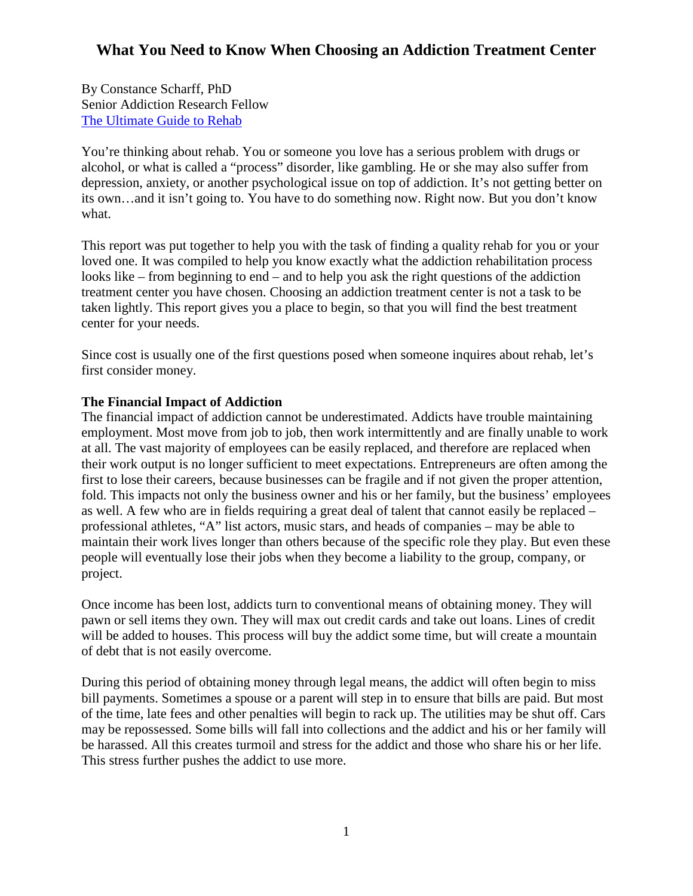By Constance Scharff, PhD Senior Addiction Research Fellow [The Ultimate Guide to Rehab](http://www.thefix.com/content/ultimate-guide-to-rehab)

You're thinking about rehab. You or someone you love has a serious problem with drugs or alcohol, or what is called a "process" disorder, like gambling. He or she may also suffer from depression, anxiety, or another psychological issue on top of addiction. It's not getting better on its own…and it isn't going to. You have to do something now. Right now. But you don't know what.

This report was put together to help you with the task of finding a quality rehab for you or your loved one. It was compiled to help you know exactly what the addiction rehabilitation process looks like – from beginning to end – and to help you ask the right questions of the addiction treatment center you have chosen. Choosing an addiction treatment center is not a task to be taken lightly. This report gives you a place to begin, so that you will find the best treatment center for your needs.

Since cost is usually one of the first questions posed when someone inquires about rehab, let's first consider money.

#### **The Financial Impact of Addiction**

The financial impact of addiction cannot be underestimated. Addicts have trouble maintaining employment. Most move from job to job, then work intermittently and are finally unable to work at all. The vast majority of employees can be easily replaced, and therefore are replaced when their work output is no longer sufficient to meet expectations. Entrepreneurs are often among the first to lose their careers, because businesses can be fragile and if not given the proper attention, fold. This impacts not only the business owner and his or her family, but the business' employees as well. A few who are in fields requiring a great deal of talent that cannot easily be replaced – professional athletes, "A" list actors, music stars, and heads of companies – may be able to maintain their work lives longer than others because of the specific role they play. But even these people will eventually lose their jobs when they become a liability to the group, company, or project.

Once income has been lost, addicts turn to conventional means of obtaining money. They will pawn or sell items they own. They will max out credit cards and take out loans. Lines of credit will be added to houses. This process will buy the addict some time, but will create a mountain of debt that is not easily overcome.

During this period of obtaining money through legal means, the addict will often begin to miss bill payments. Sometimes a spouse or a parent will step in to ensure that bills are paid. But most of the time, late fees and other penalties will begin to rack up. The utilities may be shut off. Cars may be repossessed. Some bills will fall into collections and the addict and his or her family will be harassed. All this creates turmoil and stress for the addict and those who share his or her life. This stress further pushes the addict to use more.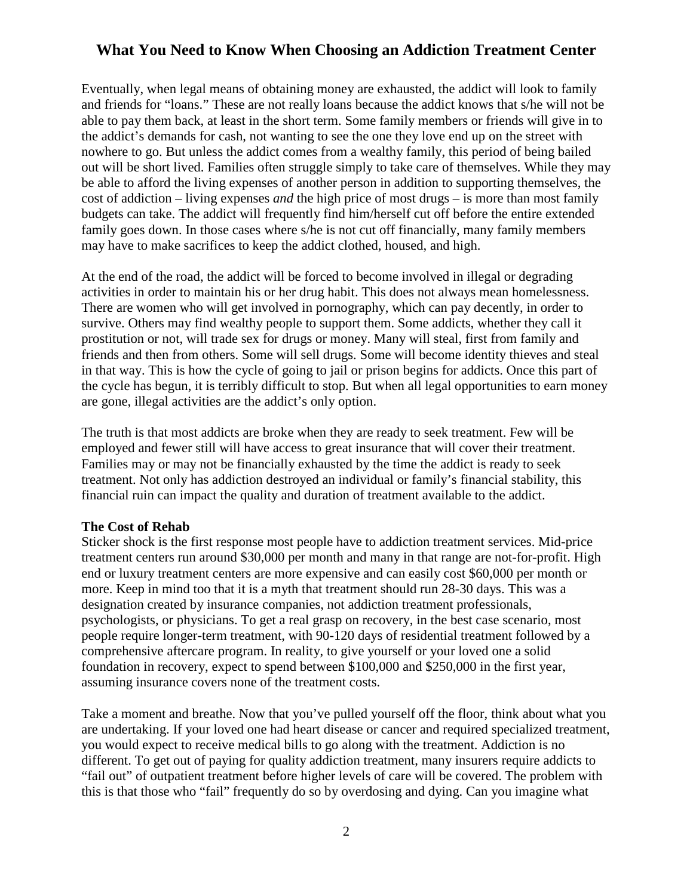Eventually, when legal means of obtaining money are exhausted, the addict will look to family and friends for "loans." These are not really loans because the addict knows that s/he will not be able to pay them back, at least in the short term. Some family members or friends will give in to the addict's demands for cash, not wanting to see the one they love end up on the street with nowhere to go. But unless the addict comes from a wealthy family, this period of being bailed out will be short lived. Families often struggle simply to take care of themselves. While they may be able to afford the living expenses of another person in addition to supporting themselves, the cost of addiction – living expenses *and* the high price of most drugs – is more than most family budgets can take. The addict will frequently find him/herself cut off before the entire extended family goes down. In those cases where s/he is not cut off financially, many family members may have to make sacrifices to keep the addict clothed, housed, and high.

At the end of the road, the addict will be forced to become involved in illegal or degrading activities in order to maintain his or her drug habit. This does not always mean homelessness. There are women who will get involved in pornography, which can pay decently, in order to survive. Others may find wealthy people to support them. Some addicts, whether they call it prostitution or not, will trade sex for drugs or money. Many will steal, first from family and friends and then from others. Some will sell drugs. Some will become identity thieves and steal in that way. This is how the cycle of going to jail or prison begins for addicts. Once this part of the cycle has begun, it is terribly difficult to stop. But when all legal opportunities to earn money are gone, illegal activities are the addict's only option.

The truth is that most addicts are broke when they are ready to seek treatment. Few will be employed and fewer still will have access to great insurance that will cover their treatment. Families may or may not be financially exhausted by the time the addict is ready to seek treatment. Not only has addiction destroyed an individual or family's financial stability, this financial ruin can impact the quality and duration of treatment available to the addict.

#### **The Cost of Rehab**

Sticker shock is the first response most people have to addiction treatment services. Mid-price treatment centers run around \$30,000 per month and many in that range are not-for-profit. High end or luxury treatment centers are more expensive and can easily cost \$60,000 per month or more. Keep in mind too that it is a myth that treatment should run 28-30 days. This was a designation created by insurance companies, not addiction treatment professionals, psychologists, or physicians. To get a real grasp on recovery, in the best case scenario, most people require longer-term treatment, with 90-120 days of residential treatment followed by a comprehensive aftercare program. In reality, to give yourself or your loved one a solid foundation in recovery, expect to spend between \$100,000 and \$250,000 in the first year, assuming insurance covers none of the treatment costs.

Take a moment and breathe. Now that you've pulled yourself off the floor, think about what you are undertaking. If your loved one had heart disease or cancer and required specialized treatment, you would expect to receive medical bills to go along with the treatment. Addiction is no different. To get out of paying for quality addiction treatment, many insurers require addicts to "fail out" of outpatient treatment before higher levels of care will be covered. The problem with this is that those who "fail" frequently do so by overdosing and dying. Can you imagine what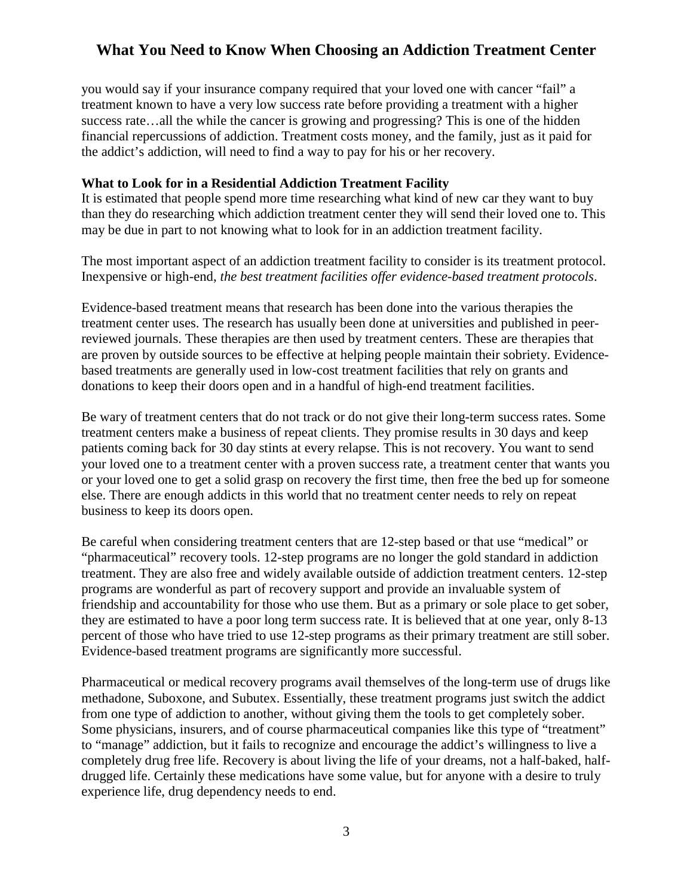you would say if your insurance company required that your loved one with cancer "fail" a treatment known to have a very low success rate before providing a treatment with a higher success rate…all the while the cancer is growing and progressing? This is one of the hidden financial repercussions of addiction. Treatment costs money, and the family, just as it paid for the addict's addiction, will need to find a way to pay for his or her recovery.

#### **What to Look for in a Residential Addiction Treatment Facility**

It is estimated that people spend more time researching what kind of new car they want to buy than they do researching which addiction treatment center they will send their loved one to. This may be due in part to not knowing what to look for in an addiction treatment facility.

The most important aspect of an addiction treatment facility to consider is its treatment protocol. Inexpensive or high-end, *the best treatment facilities offer evidence-based treatment protocols*.

Evidence-based treatment means that research has been done into the various therapies the treatment center uses. The research has usually been done at universities and published in peerreviewed journals. These therapies are then used by treatment centers. These are therapies that are proven by outside sources to be effective at helping people maintain their sobriety. Evidencebased treatments are generally used in low-cost treatment facilities that rely on grants and donations to keep their doors open and in a handful of high-end treatment facilities.

Be wary of treatment centers that do not track or do not give their long-term success rates. Some treatment centers make a business of repeat clients. They promise results in 30 days and keep patients coming back for 30 day stints at every relapse. This is not recovery. You want to send your loved one to a treatment center with a proven success rate, a treatment center that wants you or your loved one to get a solid grasp on recovery the first time, then free the bed up for someone else. There are enough addicts in this world that no treatment center needs to rely on repeat business to keep its doors open.

Be careful when considering treatment centers that are 12-step based or that use "medical" or "pharmaceutical" recovery tools. 12-step programs are no longer the gold standard in addiction treatment. They are also free and widely available outside of addiction treatment centers. 12-step programs are wonderful as part of recovery support and provide an invaluable system of friendship and accountability for those who use them. But as a primary or sole place to get sober, they are estimated to have a poor long term success rate. It is believed that at one year, only 8-13 percent of those who have tried to use 12-step programs as their primary treatment are still sober. Evidence-based treatment programs are significantly more successful.

Pharmaceutical or medical recovery programs avail themselves of the long-term use of drugs like methadone, Suboxone, and Subutex. Essentially, these treatment programs just switch the addict from one type of addiction to another, without giving them the tools to get completely sober. Some physicians, insurers, and of course pharmaceutical companies like this type of "treatment" to "manage" addiction, but it fails to recognize and encourage the addict's willingness to live a completely drug free life. Recovery is about living the life of your dreams, not a half-baked, halfdrugged life. Certainly these medications have some value, but for anyone with a desire to truly experience life, drug dependency needs to end.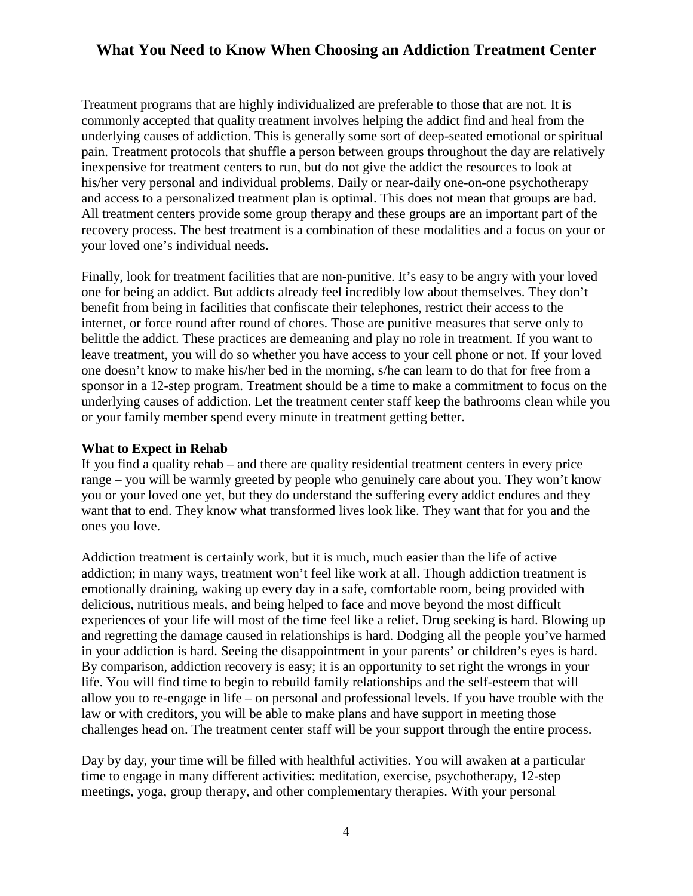Treatment programs that are highly individualized are preferable to those that are not. It is commonly accepted that quality treatment involves helping the addict find and heal from the underlying causes of addiction. This is generally some sort of deep-seated emotional or spiritual pain. Treatment protocols that shuffle a person between groups throughout the day are relatively inexpensive for treatment centers to run, but do not give the addict the resources to look at his/her very personal and individual problems. Daily or near-daily one-on-one psychotherapy and access to a personalized treatment plan is optimal. This does not mean that groups are bad. All treatment centers provide some group therapy and these groups are an important part of the recovery process. The best treatment is a combination of these modalities and a focus on your or your loved one's individual needs.

Finally, look for treatment facilities that are non-punitive. It's easy to be angry with your loved one for being an addict. But addicts already feel incredibly low about themselves. They don't benefit from being in facilities that confiscate their telephones, restrict their access to the internet, or force round after round of chores. Those are punitive measures that serve only to belittle the addict. These practices are demeaning and play no role in treatment. If you want to leave treatment, you will do so whether you have access to your cell phone or not. If your loved one doesn't know to make his/her bed in the morning, s/he can learn to do that for free from a sponsor in a 12-step program. Treatment should be a time to make a commitment to focus on the underlying causes of addiction. Let the treatment center staff keep the bathrooms clean while you or your family member spend every minute in treatment getting better.

#### **What to Expect in Rehab**

If you find a quality rehab – and there are quality residential treatment centers in every price range – you will be warmly greeted by people who genuinely care about you. They won't know you or your loved one yet, but they do understand the suffering every addict endures and they want that to end. They know what transformed lives look like. They want that for you and the ones you love.

Addiction treatment is certainly work, but it is much, much easier than the life of active addiction; in many ways, treatment won't feel like work at all. Though addiction treatment is emotionally draining, waking up every day in a safe, comfortable room, being provided with delicious, nutritious meals, and being helped to face and move beyond the most difficult experiences of your life will most of the time feel like a relief. Drug seeking is hard. Blowing up and regretting the damage caused in relationships is hard. Dodging all the people you've harmed in your addiction is hard. Seeing the disappointment in your parents' or children's eyes is hard. By comparison, addiction recovery is easy; it is an opportunity to set right the wrongs in your life. You will find time to begin to rebuild family relationships and the self-esteem that will allow you to re-engage in life – on personal and professional levels. If you have trouble with the law or with creditors, you will be able to make plans and have support in meeting those challenges head on. The treatment center staff will be your support through the entire process.

Day by day, your time will be filled with healthful activities. You will awaken at a particular time to engage in many different activities: meditation, exercise, psychotherapy, 12-step meetings, yoga, group therapy, and other complementary therapies. With your personal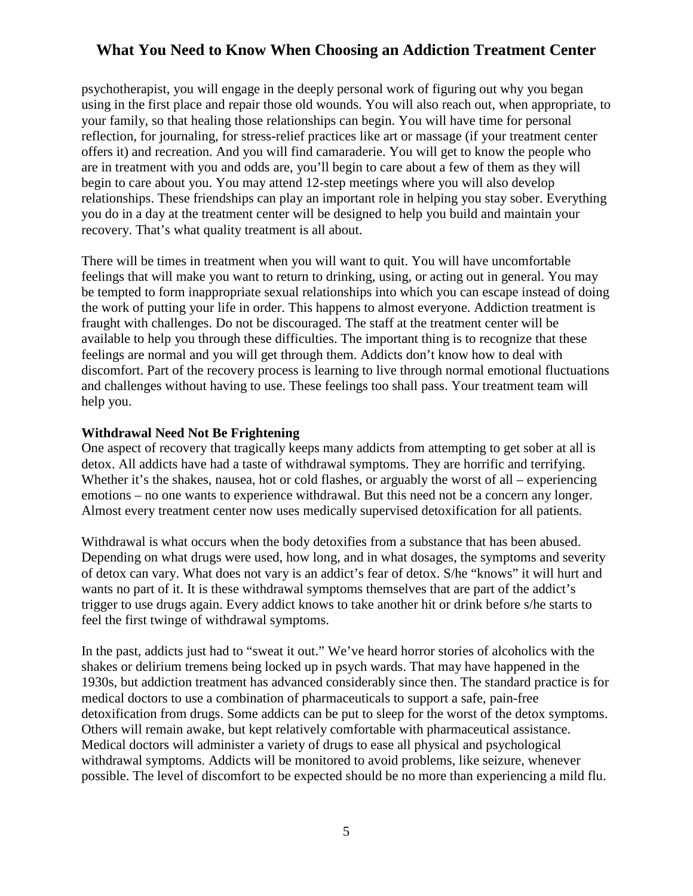psychotherapist, you will engage in the deeply personal work of figuring out why you began using in the first place and repair those old wounds. You will also reach out, when appropriate, to your family, so that healing those relationships can begin. You will have time for personal reflection, for journaling, for stress-relief practices like art or massage (if your treatment center offers it) and recreation. And you will find camaraderie. You will get to know the people who are in treatment with you and odds are, you'll begin to care about a few of them as they will begin to care about you. You may attend 12-step meetings where you will also develop relationships. These friendships can play an important role in helping you stay sober. Everything you do in a day at the treatment center will be designed to help you build and maintain your recovery. That's what quality treatment is all about.

There will be times in treatment when you will want to quit. You will have uncomfortable feelings that will make you want to return to drinking, using, or acting out in general. You may be tempted to form inappropriate sexual relationships into which you can escape instead of doing the work of putting your life in order. This happens to almost everyone. Addiction treatment is fraught with challenges. Do not be discouraged. The staff at the treatment center will be available to help you through these difficulties. The important thing is to recognize that these feelings are normal and you will get through them. Addicts don't know how to deal with discomfort. Part of the recovery process is learning to live through normal emotional fluctuations and challenges without having to use. These feelings too shall pass. Your treatment team will help you.

#### **Withdrawal Need Not Be Frightening**

One aspect of recovery that tragically keeps many addicts from attempting to get sober at all is detox. All addicts have had a taste of withdrawal symptoms. They are horrific and terrifying. Whether it's the shakes, nausea, hot or cold flashes, or arguably the worst of all – experiencing emotions – no one wants to experience withdrawal. But this need not be a concern any longer. Almost every treatment center now uses medically supervised detoxification for all patients.

Withdrawal is what occurs when the body detoxifies from a substance that has been abused. Depending on what drugs were used, how long, and in what dosages, the symptoms and severity of detox can vary. What does not vary is an addict's fear of detox. S/he "knows" it will hurt and wants no part of it. It is these withdrawal symptoms themselves that are part of the addict's trigger to use drugs again. Every addict knows to take another hit or drink before s/he starts to feel the first twinge of withdrawal symptoms.

In the past, addicts just had to "sweat it out." We've heard horror stories of alcoholics with the shakes or delirium tremens being locked up in psych wards. That may have happened in the 1930s, but addiction treatment has advanced considerably since then. The standard practice is for medical doctors to use a combination of pharmaceuticals to support a safe, pain-free detoxification from drugs. Some addicts can be put to sleep for the worst of the detox symptoms. Others will remain awake, but kept relatively comfortable with pharmaceutical assistance. Medical doctors will administer a variety of drugs to ease all physical and psychological withdrawal symptoms. Addicts will be monitored to avoid problems, like seizure, whenever possible. The level of discomfort to be expected should be no more than experiencing a mild flu.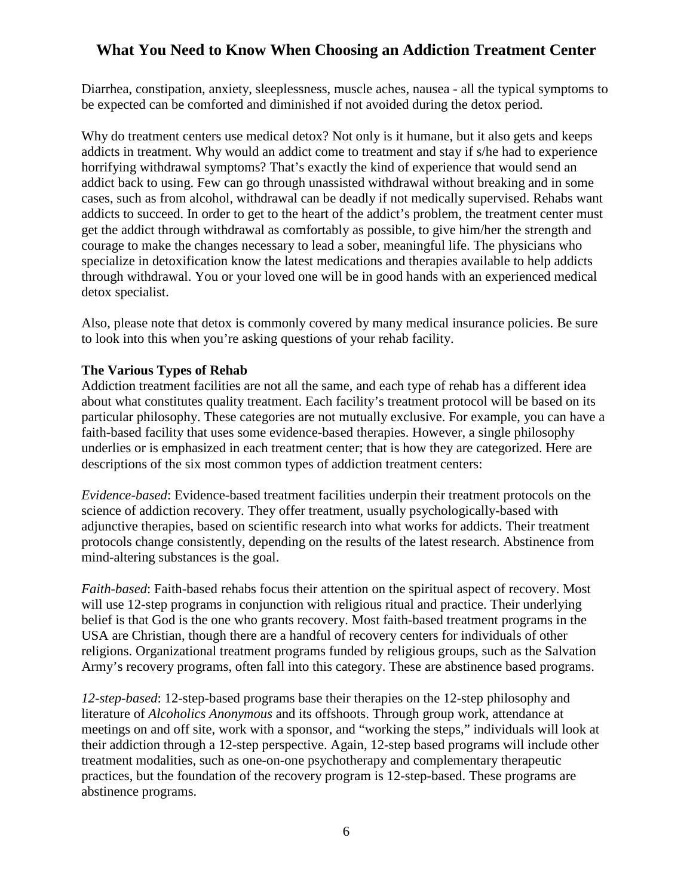Diarrhea, constipation, anxiety, sleeplessness, muscle aches, nausea - all the typical symptoms to be expected can be comforted and diminished if not avoided during the detox period.

Why do treatment centers use medical detox? Not only is it humane, but it also gets and keeps addicts in treatment. Why would an addict come to treatment and stay if s/he had to experience horrifying withdrawal symptoms? That's exactly the kind of experience that would send an addict back to using. Few can go through unassisted withdrawal without breaking and in some cases, such as from alcohol, withdrawal can be deadly if not medically supervised. Rehabs want addicts to succeed. In order to get to the heart of the addict's problem, the treatment center must get the addict through withdrawal as comfortably as possible, to give him/her the strength and courage to make the changes necessary to lead a sober, meaningful life. The physicians who specialize in detoxification know the latest medications and therapies available to help addicts through withdrawal. You or your loved one will be in good hands with an experienced medical detox specialist.

Also, please note that detox is commonly covered by many medical insurance policies. Be sure to look into this when you're asking questions of your rehab facility.

#### **The Various Types of Rehab**

Addiction treatment facilities are not all the same, and each type of rehab has a different idea about what constitutes quality treatment. Each facility's treatment protocol will be based on its particular philosophy. These categories are not mutually exclusive. For example, you can have a faith-based facility that uses some evidence-based therapies. However, a single philosophy underlies or is emphasized in each treatment center; that is how they are categorized. Here are descriptions of the six most common types of addiction treatment centers:

*Evidence-based*: Evidence-based treatment facilities underpin their treatment protocols on the science of addiction recovery. They offer treatment, usually psychologically-based with adjunctive therapies, based on scientific research into what works for addicts. Their treatment protocols change consistently, depending on the results of the latest research. Abstinence from mind-altering substances is the goal.

*Faith-based*: Faith-based rehabs focus their attention on the spiritual aspect of recovery. Most will use 12-step programs in conjunction with religious ritual and practice. Their underlying belief is that God is the one who grants recovery. Most faith-based treatment programs in the USA are Christian, though there are a handful of recovery centers for individuals of other religions. Organizational treatment programs funded by religious groups, such as the Salvation Army's recovery programs, often fall into this category. These are abstinence based programs.

*12-step-based*: 12-step-based programs base their therapies on the 12-step philosophy and literature of *Alcoholics Anonymous* and its offshoots. Through group work, attendance at meetings on and off site, work with a sponsor, and "working the steps," individuals will look at their addiction through a 12-step perspective. Again, 12-step based programs will include other treatment modalities, such as one-on-one psychotherapy and complementary therapeutic practices, but the foundation of the recovery program is 12-step-based. These programs are abstinence programs.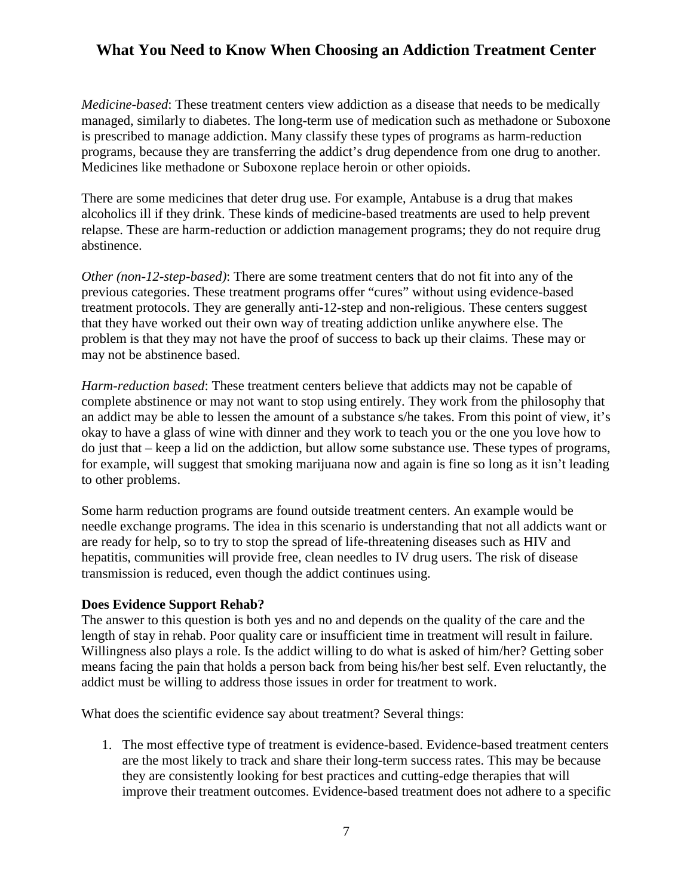*Medicine-based*: These treatment centers view addiction as a disease that needs to be medically managed, similarly to diabetes. The long-term use of medication such as methadone or Suboxone is prescribed to manage addiction. Many classify these types of programs as harm-reduction programs, because they are transferring the addict's drug dependence from one drug to another. Medicines like methadone or Suboxone replace heroin or other opioids.

There are some medicines that deter drug use. For example, Antabuse is a drug that makes alcoholics ill if they drink. These kinds of medicine-based treatments are used to help prevent relapse. These are harm-reduction or addiction management programs; they do not require drug abstinence.

*Other (non-12-step-based)*: There are some treatment centers that do not fit into any of the previous categories. These treatment programs offer "cures" without using evidence-based treatment protocols. They are generally anti-12-step and non-religious. These centers suggest that they have worked out their own way of treating addiction unlike anywhere else. The problem is that they may not have the proof of success to back up their claims. These may or may not be abstinence based.

*Harm-reduction based*: These treatment centers believe that addicts may not be capable of complete abstinence or may not want to stop using entirely. They work from the philosophy that an addict may be able to lessen the amount of a substance s/he takes. From this point of view, it's okay to have a glass of wine with dinner and they work to teach you or the one you love how to do just that – keep a lid on the addiction, but allow some substance use. These types of programs, for example, will suggest that smoking marijuana now and again is fine so long as it isn't leading to other problems.

Some harm reduction programs are found outside treatment centers. An example would be needle exchange programs. The idea in this scenario is understanding that not all addicts want or are ready for help, so to try to stop the spread of life-threatening diseases such as HIV and hepatitis, communities will provide free, clean needles to IV drug users. The risk of disease transmission is reduced, even though the addict continues using.

#### **Does Evidence Support Rehab?**

The answer to this question is both yes and no and depends on the quality of the care and the length of stay in rehab. Poor quality care or insufficient time in treatment will result in failure. Willingness also plays a role. Is the addict willing to do what is asked of him/her? Getting sober means facing the pain that holds a person back from being his/her best self. Even reluctantly, the addict must be willing to address those issues in order for treatment to work.

What does the scientific evidence say about treatment? Several things:

1. The most effective type of treatment is evidence-based. Evidence-based treatment centers are the most likely to track and share their long-term success rates. This may be because they are consistently looking for best practices and cutting-edge therapies that will improve their treatment outcomes. Evidence-based treatment does not adhere to a specific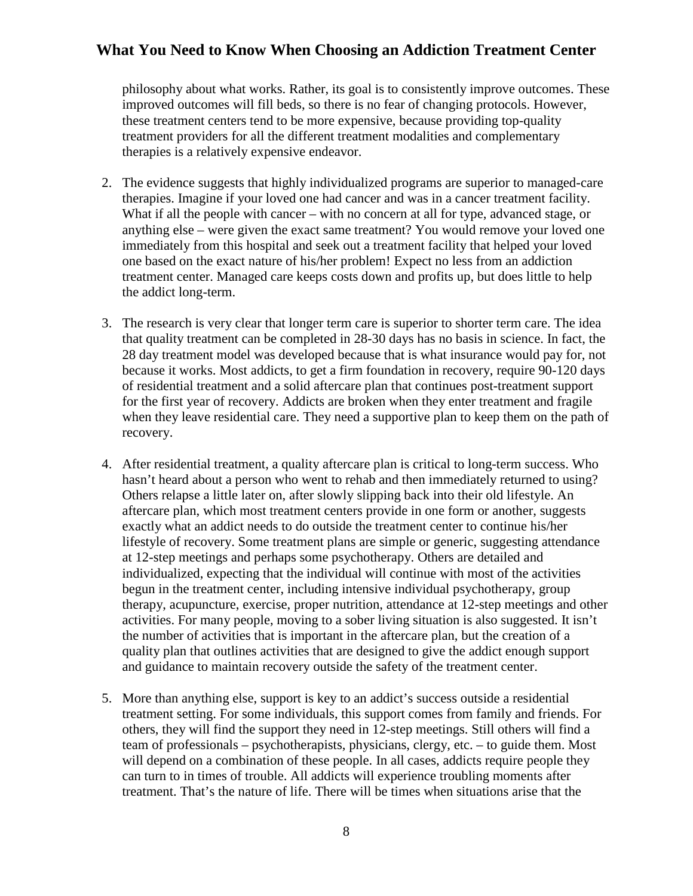philosophy about what works. Rather, its goal is to consistently improve outcomes. These improved outcomes will fill beds, so there is no fear of changing protocols. However, these treatment centers tend to be more expensive, because providing top-quality treatment providers for all the different treatment modalities and complementary therapies is a relatively expensive endeavor.

- 2. The evidence suggests that highly individualized programs are superior to managed-care therapies. Imagine if your loved one had cancer and was in a cancer treatment facility. What if all the people with cancer – with no concern at all for type, advanced stage, or anything else – were given the exact same treatment? You would remove your loved one immediately from this hospital and seek out a treatment facility that helped your loved one based on the exact nature of his/her problem! Expect no less from an addiction treatment center. Managed care keeps costs down and profits up, but does little to help the addict long-term.
- 3. The research is very clear that longer term care is superior to shorter term care. The idea that quality treatment can be completed in 28-30 days has no basis in science. In fact, the 28 day treatment model was developed because that is what insurance would pay for, not because it works. Most addicts, to get a firm foundation in recovery, require 90-120 days of residential treatment and a solid aftercare plan that continues post-treatment support for the first year of recovery. Addicts are broken when they enter treatment and fragile when they leave residential care. They need a supportive plan to keep them on the path of recovery.
- 4. After residential treatment, a quality aftercare plan is critical to long-term success. Who hasn't heard about a person who went to rehab and then immediately returned to using? Others relapse a little later on, after slowly slipping back into their old lifestyle. An aftercare plan, which most treatment centers provide in one form or another, suggests exactly what an addict needs to do outside the treatment center to continue his/her lifestyle of recovery. Some treatment plans are simple or generic, suggesting attendance at 12-step meetings and perhaps some psychotherapy. Others are detailed and individualized, expecting that the individual will continue with most of the activities begun in the treatment center, including intensive individual psychotherapy, group therapy, acupuncture, exercise, proper nutrition, attendance at 12-step meetings and other activities. For many people, moving to a sober living situation is also suggested. It isn't the number of activities that is important in the aftercare plan, but the creation of a quality plan that outlines activities that are designed to give the addict enough support and guidance to maintain recovery outside the safety of the treatment center.
- 5. More than anything else, support is key to an addict's success outside a residential treatment setting. For some individuals, this support comes from family and friends. For others, they will find the support they need in 12-step meetings. Still others will find a team of professionals – psychotherapists, physicians, clergy, etc. – to guide them. Most will depend on a combination of these people. In all cases, addicts require people they can turn to in times of trouble. All addicts will experience troubling moments after treatment. That's the nature of life. There will be times when situations arise that the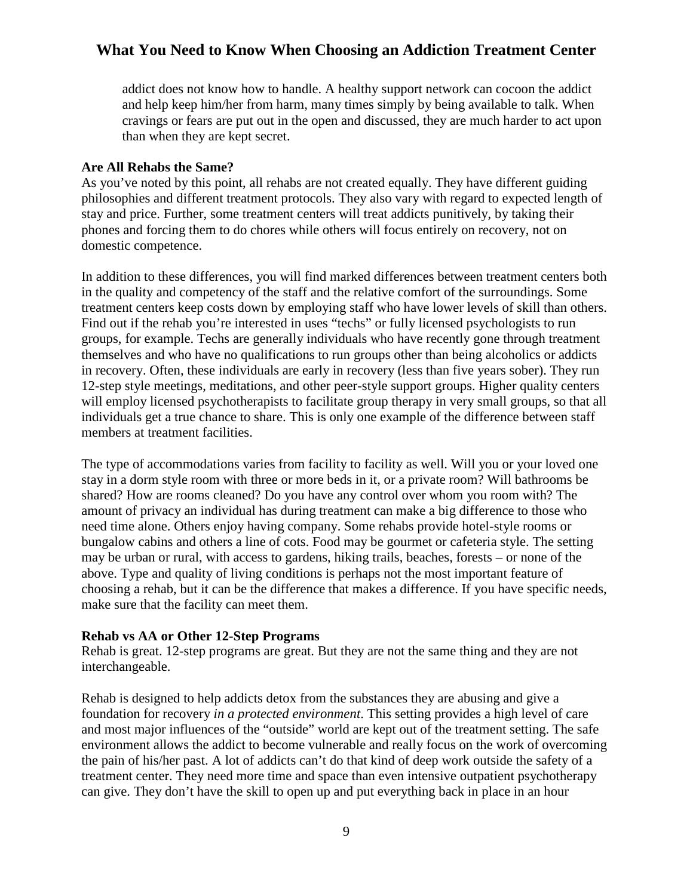addict does not know how to handle. A healthy support network can cocoon the addict and help keep him/her from harm, many times simply by being available to talk. When cravings or fears are put out in the open and discussed, they are much harder to act upon than when they are kept secret.

#### **Are All Rehabs the Same?**

As you've noted by this point, all rehabs are not created equally. They have different guiding philosophies and different treatment protocols. They also vary with regard to expected length of stay and price. Further, some treatment centers will treat addicts punitively, by taking their phones and forcing them to do chores while others will focus entirely on recovery, not on domestic competence.

In addition to these differences, you will find marked differences between treatment centers both in the quality and competency of the staff and the relative comfort of the surroundings. Some treatment centers keep costs down by employing staff who have lower levels of skill than others. Find out if the rehab you're interested in uses "techs" or fully licensed psychologists to run groups, for example. Techs are generally individuals who have recently gone through treatment themselves and who have no qualifications to run groups other than being alcoholics or addicts in recovery. Often, these individuals are early in recovery (less than five years sober). They run 12-step style meetings, meditations, and other peer-style support groups. Higher quality centers will employ licensed psychotherapists to facilitate group therapy in very small groups, so that all individuals get a true chance to share. This is only one example of the difference between staff members at treatment facilities.

The type of accommodations varies from facility to facility as well. Will you or your loved one stay in a dorm style room with three or more beds in it, or a private room? Will bathrooms be shared? How are rooms cleaned? Do you have any control over whom you room with? The amount of privacy an individual has during treatment can make a big difference to those who need time alone. Others enjoy having company. Some rehabs provide hotel-style rooms or bungalow cabins and others a line of cots. Food may be gourmet or cafeteria style. The setting may be urban or rural, with access to gardens, hiking trails, beaches, forests – or none of the above. Type and quality of living conditions is perhaps not the most important feature of choosing a rehab, but it can be the difference that makes a difference. If you have specific needs, make sure that the facility can meet them.

#### **Rehab vs AA or Other 12-Step Programs**

Rehab is great. 12-step programs are great. But they are not the same thing and they are not interchangeable.

Rehab is designed to help addicts detox from the substances they are abusing and give a foundation for recovery *in a protected environment*. This setting provides a high level of care and most major influences of the "outside" world are kept out of the treatment setting. The safe environment allows the addict to become vulnerable and really focus on the work of overcoming the pain of his/her past. A lot of addicts can't do that kind of deep work outside the safety of a treatment center. They need more time and space than even intensive outpatient psychotherapy can give. They don't have the skill to open up and put everything back in place in an hour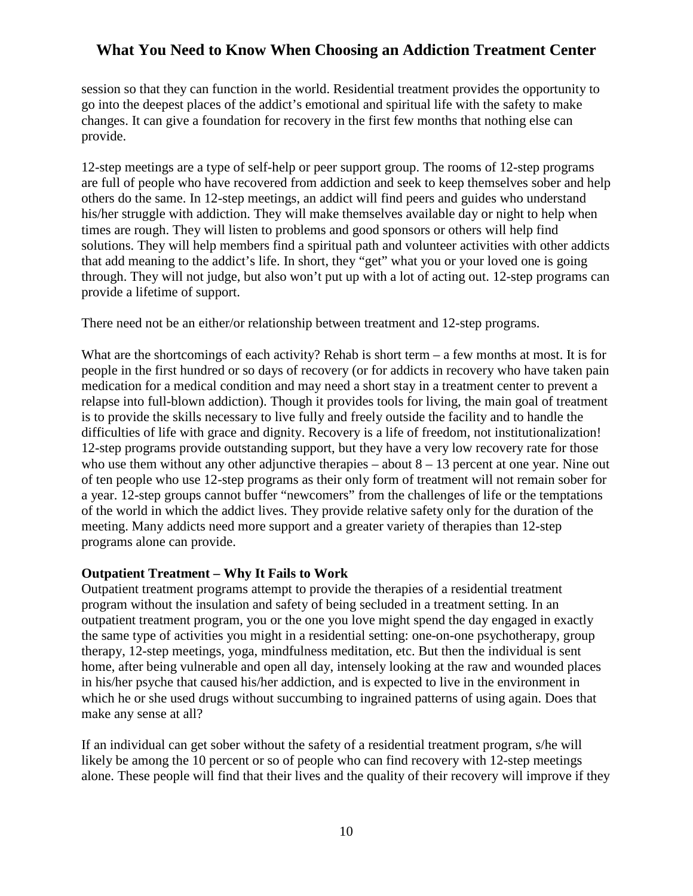session so that they can function in the world. Residential treatment provides the opportunity to go into the deepest places of the addict's emotional and spiritual life with the safety to make changes. It can give a foundation for recovery in the first few months that nothing else can provide.

12-step meetings are a type of self-help or peer support group. The rooms of 12-step programs are full of people who have recovered from addiction and seek to keep themselves sober and help others do the same. In 12-step meetings, an addict will find peers and guides who understand his/her struggle with addiction. They will make themselves available day or night to help when times are rough. They will listen to problems and good sponsors or others will help find solutions. They will help members find a spiritual path and volunteer activities with other addicts that add meaning to the addict's life. In short, they "get" what you or your loved one is going through. They will not judge, but also won't put up with a lot of acting out. 12-step programs can provide a lifetime of support.

There need not be an either/or relationship between treatment and 12-step programs.

What are the shortcomings of each activity? Rehab is short term  $-$  a few months at most. It is for people in the first hundred or so days of recovery (or for addicts in recovery who have taken pain medication for a medical condition and may need a short stay in a treatment center to prevent a relapse into full-blown addiction). Though it provides tools for living, the main goal of treatment is to provide the skills necessary to live fully and freely outside the facility and to handle the difficulties of life with grace and dignity. Recovery is a life of freedom, not institutionalization! 12-step programs provide outstanding support, but they have a very low recovery rate for those who use them without any other adjunctive therapies – about  $8 - 13$  percent at one year. Nine out of ten people who use 12-step programs as their only form of treatment will not remain sober for a year. 12-step groups cannot buffer "newcomers" from the challenges of life or the temptations of the world in which the addict lives. They provide relative safety only for the duration of the meeting. Many addicts need more support and a greater variety of therapies than 12-step programs alone can provide.

#### **Outpatient Treatment – Why It Fails to Work**

Outpatient treatment programs attempt to provide the therapies of a residential treatment program without the insulation and safety of being secluded in a treatment setting. In an outpatient treatment program, you or the one you love might spend the day engaged in exactly the same type of activities you might in a residential setting: one-on-one psychotherapy, group therapy, 12-step meetings, yoga, mindfulness meditation, etc. But then the individual is sent home, after being vulnerable and open all day, intensely looking at the raw and wounded places in his/her psyche that caused his/her addiction, and is expected to live in the environment in which he or she used drugs without succumbing to ingrained patterns of using again. Does that make any sense at all?

If an individual can get sober without the safety of a residential treatment program, s/he will likely be among the 10 percent or so of people who can find recovery with 12-step meetings alone. These people will find that their lives and the quality of their recovery will improve if they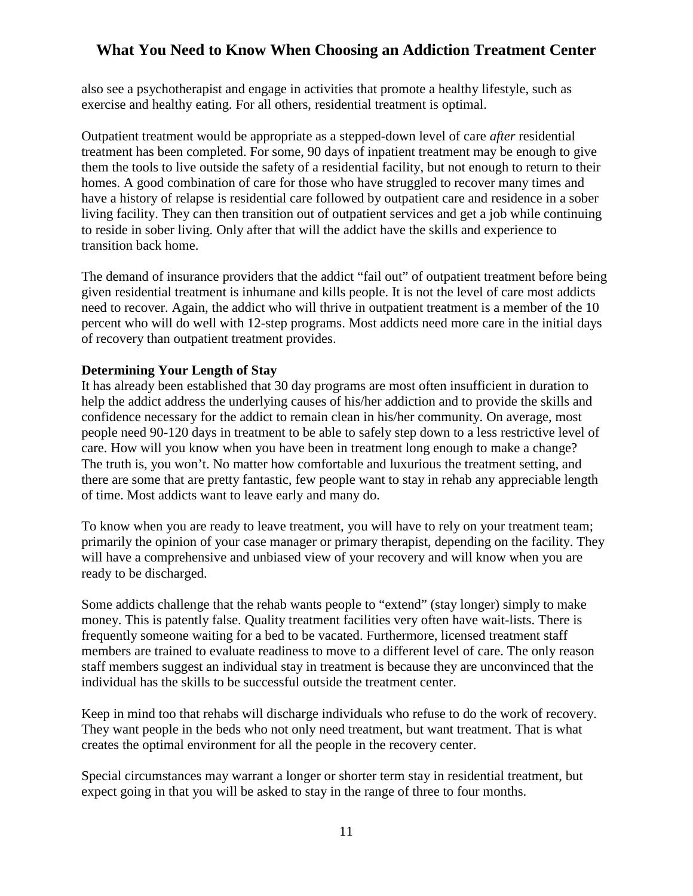also see a psychotherapist and engage in activities that promote a healthy lifestyle, such as exercise and healthy eating. For all others, residential treatment is optimal.

Outpatient treatment would be appropriate as a stepped-down level of care *after* residential treatment has been completed. For some, 90 days of inpatient treatment may be enough to give them the tools to live outside the safety of a residential facility, but not enough to return to their homes. A good combination of care for those who have struggled to recover many times and have a history of relapse is residential care followed by outpatient care and residence in a sober living facility. They can then transition out of outpatient services and get a job while continuing to reside in sober living. Only after that will the addict have the skills and experience to transition back home.

The demand of insurance providers that the addict "fail out" of outpatient treatment before being given residential treatment is inhumane and kills people. It is not the level of care most addicts need to recover. Again, the addict who will thrive in outpatient treatment is a member of the 10 percent who will do well with 12-step programs. Most addicts need more care in the initial days of recovery than outpatient treatment provides.

#### **Determining Your Length of Stay**

It has already been established that 30 day programs are most often insufficient in duration to help the addict address the underlying causes of his/her addiction and to provide the skills and confidence necessary for the addict to remain clean in his/her community. On average, most people need 90-120 days in treatment to be able to safely step down to a less restrictive level of care. How will you know when you have been in treatment long enough to make a change? The truth is, you won't. No matter how comfortable and luxurious the treatment setting, and there are some that are pretty fantastic, few people want to stay in rehab any appreciable length of time. Most addicts want to leave early and many do.

To know when you are ready to leave treatment, you will have to rely on your treatment team; primarily the opinion of your case manager or primary therapist, depending on the facility. They will have a comprehensive and unbiased view of your recovery and will know when you are ready to be discharged.

Some addicts challenge that the rehab wants people to "extend" (stay longer) simply to make money. This is patently false. Quality treatment facilities very often have wait-lists. There is frequently someone waiting for a bed to be vacated. Furthermore, licensed treatment staff members are trained to evaluate readiness to move to a different level of care. The only reason staff members suggest an individual stay in treatment is because they are unconvinced that the individual has the skills to be successful outside the treatment center.

Keep in mind too that rehabs will discharge individuals who refuse to do the work of recovery. They want people in the beds who not only need treatment, but want treatment. That is what creates the optimal environment for all the people in the recovery center.

Special circumstances may warrant a longer or shorter term stay in residential treatment, but expect going in that you will be asked to stay in the range of three to four months.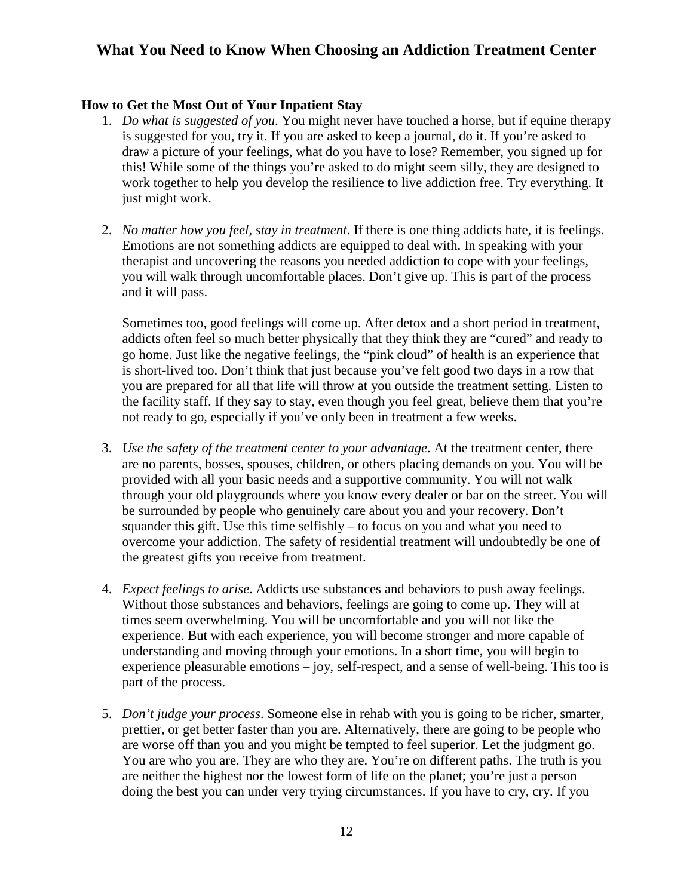#### **How to Get the Most Out of Your Inpatient Stay**

- 1. *Do what is suggested of you*. You might never have touched a horse, but if equine therapy is suggested for you, try it. If you are asked to keep a journal, do it. If you're asked to draw a picture of your feelings, what do you have to lose? Remember, you signed up for this! While some of the things you're asked to do might seem silly, they are designed to work together to help you develop the resilience to live addiction free. Try everything. It just might work.
- 2. *No matter how you feel, stay in treatment*. If there is one thing addicts hate, it is feelings. Emotions are not something addicts are equipped to deal with. In speaking with your therapist and uncovering the reasons you needed addiction to cope with your feelings, you will walk through uncomfortable places. Don't give up. This is part of the process and it will pass.

Sometimes too, good feelings will come up. After detox and a short period in treatment, addicts often feel so much better physically that they think they are "cured" and ready to go home. Just like the negative feelings, the "pink cloud" of health is an experience that is short-lived too. Don't think that just because you've felt good two days in a row that you are prepared for all that life will throw at you outside the treatment setting. Listen to the facility staff. If they say to stay, even though you feel great, believe them that you're not ready to go, especially if you've only been in treatment a few weeks.

- 3. *Use the safety of the treatment center to your advantage*. At the treatment center, there are no parents, bosses, spouses, children, or others placing demands on you. You will be provided with all your basic needs and a supportive community. You will not walk through your old playgrounds where you know every dealer or bar on the street. You will be surrounded by people who genuinely care about you and your recovery. Don't squander this gift. Use this time selfishly – to focus on you and what you need to overcome your addiction. The safety of residential treatment will undoubtedly be one of the greatest gifts you receive from treatment.
- 4. *Expect feelings to arise*. Addicts use substances and behaviors to push away feelings. Without those substances and behaviors, feelings are going to come up. They will at times seem overwhelming. You will be uncomfortable and you will not like the experience. But with each experience, you will become stronger and more capable of understanding and moving through your emotions. In a short time, you will begin to experience pleasurable emotions – joy, self-respect, and a sense of well-being. This too is part of the process.
- 5. *Don't judge your process*. Someone else in rehab with you is going to be richer, smarter, prettier, or get better faster than you are. Alternatively, there are going to be people who are worse off than you and you might be tempted to feel superior. Let the judgment go. You are who you are. They are who they are. You're on different paths. The truth is you are neither the highest nor the lowest form of life on the planet; you're just a person doing the best you can under very trying circumstances. If you have to cry, cry. If you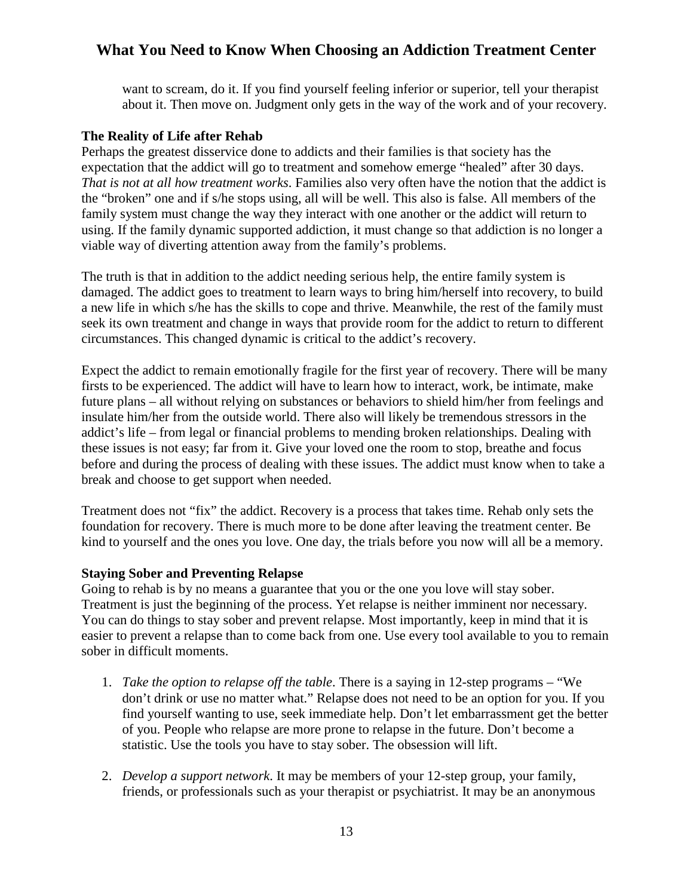want to scream, do it. If you find yourself feeling inferior or superior, tell your therapist about it. Then move on. Judgment only gets in the way of the work and of your recovery.

#### **The Reality of Life after Rehab**

Perhaps the greatest disservice done to addicts and their families is that society has the expectation that the addict will go to treatment and somehow emerge "healed" after 30 days. *That is not at all how treatment works*. Families also very often have the notion that the addict is the "broken" one and if s/he stops using, all will be well. This also is false. All members of the family system must change the way they interact with one another or the addict will return to using. If the family dynamic supported addiction, it must change so that addiction is no longer a viable way of diverting attention away from the family's problems.

The truth is that in addition to the addict needing serious help, the entire family system is damaged. The addict goes to treatment to learn ways to bring him/herself into recovery, to build a new life in which s/he has the skills to cope and thrive. Meanwhile, the rest of the family must seek its own treatment and change in ways that provide room for the addict to return to different circumstances. This changed dynamic is critical to the addict's recovery.

Expect the addict to remain emotionally fragile for the first year of recovery. There will be many firsts to be experienced. The addict will have to learn how to interact, work, be intimate, make future plans – all without relying on substances or behaviors to shield him/her from feelings and insulate him/her from the outside world. There also will likely be tremendous stressors in the addict's life – from legal or financial problems to mending broken relationships. Dealing with these issues is not easy; far from it. Give your loved one the room to stop, breathe and focus before and during the process of dealing with these issues. The addict must know when to take a break and choose to get support when needed.

Treatment does not "fix" the addict. Recovery is a process that takes time. Rehab only sets the foundation for recovery. There is much more to be done after leaving the treatment center. Be kind to yourself and the ones you love. One day, the trials before you now will all be a memory.

#### **Staying Sober and Preventing Relapse**

Going to rehab is by no means a guarantee that you or the one you love will stay sober. Treatment is just the beginning of the process. Yet relapse is neither imminent nor necessary. You can do things to stay sober and prevent relapse. Most importantly, keep in mind that it is easier to prevent a relapse than to come back from one. Use every tool available to you to remain sober in difficult moments.

- 1. *Take the option to relapse off the table*. There is a saying in 12-step programs "We don't drink or use no matter what." Relapse does not need to be an option for you. If you find yourself wanting to use, seek immediate help. Don't let embarrassment get the better of you. People who relapse are more prone to relapse in the future. Don't become a statistic. Use the tools you have to stay sober. The obsession will lift.
- 2. *Develop a support network*. It may be members of your 12-step group, your family, friends, or professionals such as your therapist or psychiatrist. It may be an anonymous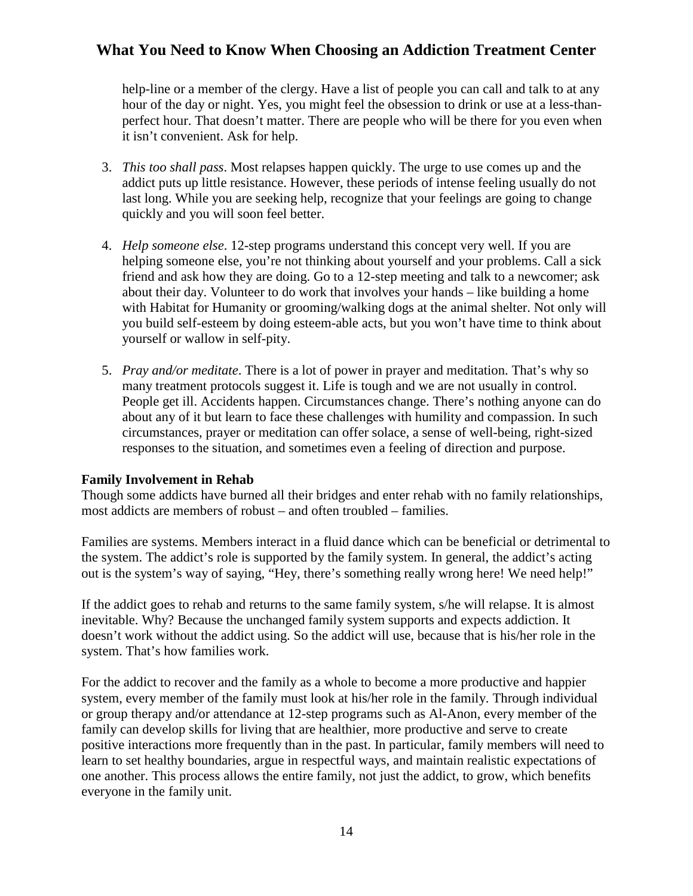help-line or a member of the clergy. Have a list of people you can call and talk to at any hour of the day or night. Yes, you might feel the obsession to drink or use at a less-thanperfect hour. That doesn't matter. There are people who will be there for you even when it isn't convenient. Ask for help.

- 3. *This too shall pass*. Most relapses happen quickly. The urge to use comes up and the addict puts up little resistance. However, these periods of intense feeling usually do not last long. While you are seeking help, recognize that your feelings are going to change quickly and you will soon feel better.
- 4. *Help someone else*. 12-step programs understand this concept very well. If you are helping someone else, you're not thinking about yourself and your problems. Call a sick friend and ask how they are doing. Go to a 12-step meeting and talk to a newcomer; ask about their day. Volunteer to do work that involves your hands – like building a home with Habitat for Humanity or grooming/walking dogs at the animal shelter. Not only will you build self-esteem by doing esteem-able acts, but you won't have time to think about yourself or wallow in self-pity.
- 5. *Pray and/or meditate*. There is a lot of power in prayer and meditation. That's why so many treatment protocols suggest it. Life is tough and we are not usually in control. People get ill. Accidents happen. Circumstances change. There's nothing anyone can do about any of it but learn to face these challenges with humility and compassion. In such circumstances, prayer or meditation can offer solace, a sense of well-being, right-sized responses to the situation, and sometimes even a feeling of direction and purpose.

#### **Family Involvement in Rehab**

Though some addicts have burned all their bridges and enter rehab with no family relationships, most addicts are members of robust – and often troubled – families.

Families are systems. Members interact in a fluid dance which can be beneficial or detrimental to the system. The addict's role is supported by the family system. In general, the addict's acting out is the system's way of saying, "Hey, there's something really wrong here! We need help!"

If the addict goes to rehab and returns to the same family system, s/he will relapse. It is almost inevitable. Why? Because the unchanged family system supports and expects addiction. It doesn't work without the addict using. So the addict will use, because that is his/her role in the system. That's how families work.

For the addict to recover and the family as a whole to become a more productive and happier system, every member of the family must look at his/her role in the family. Through individual or group therapy and/or attendance at 12-step programs such as Al-Anon, every member of the family can develop skills for living that are healthier, more productive and serve to create positive interactions more frequently than in the past. In particular, family members will need to learn to set healthy boundaries, argue in respectful ways, and maintain realistic expectations of one another. This process allows the entire family, not just the addict, to grow, which benefits everyone in the family unit.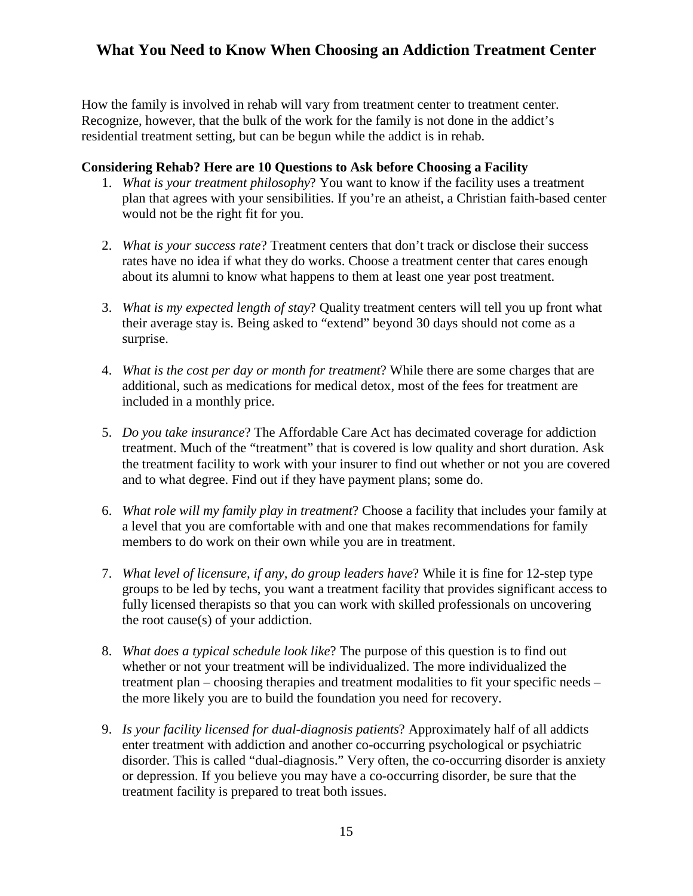How the family is involved in rehab will vary from treatment center to treatment center. Recognize, however, that the bulk of the work for the family is not done in the addict's residential treatment setting, but can be begun while the addict is in rehab.

#### **Considering Rehab? Here are 10 Questions to Ask before Choosing a Facility**

- 1. *What is your treatment philosophy*? You want to know if the facility uses a treatment plan that agrees with your sensibilities. If you're an atheist, a Christian faith-based center would not be the right fit for you.
- 2. *What is your success rate*? Treatment centers that don't track or disclose their success rates have no idea if what they do works. Choose a treatment center that cares enough about its alumni to know what happens to them at least one year post treatment.
- 3. *What is my expected length of stay*? Quality treatment centers will tell you up front what their average stay is. Being asked to "extend" beyond 30 days should not come as a surprise.
- 4. *What is the cost per day or month for treatment*? While there are some charges that are additional, such as medications for medical detox, most of the fees for treatment are included in a monthly price.
- 5. *Do you take insurance*? The Affordable Care Act has decimated coverage for addiction treatment. Much of the "treatment" that is covered is low quality and short duration. Ask the treatment facility to work with your insurer to find out whether or not you are covered and to what degree. Find out if they have payment plans; some do.
- 6. *What role will my family play in treatment*? Choose a facility that includes your family at a level that you are comfortable with and one that makes recommendations for family members to do work on their own while you are in treatment.
- 7. *What level of licensure, if any, do group leaders have*? While it is fine for 12-step type groups to be led by techs, you want a treatment facility that provides significant access to fully licensed therapists so that you can work with skilled professionals on uncovering the root cause(s) of your addiction.
- 8. *What does a typical schedule look like*? The purpose of this question is to find out whether or not your treatment will be individualized. The more individualized the treatment plan – choosing therapies and treatment modalities to fit your specific needs – the more likely you are to build the foundation you need for recovery.
- 9. *Is your facility licensed for dual*-*diagnosis patients*? Approximately half of all addicts enter treatment with addiction and another co-occurring psychological or psychiatric disorder. This is called "dual-diagnosis." Very often, the co-occurring disorder is anxiety or depression. If you believe you may have a co-occurring disorder, be sure that the treatment facility is prepared to treat both issues.